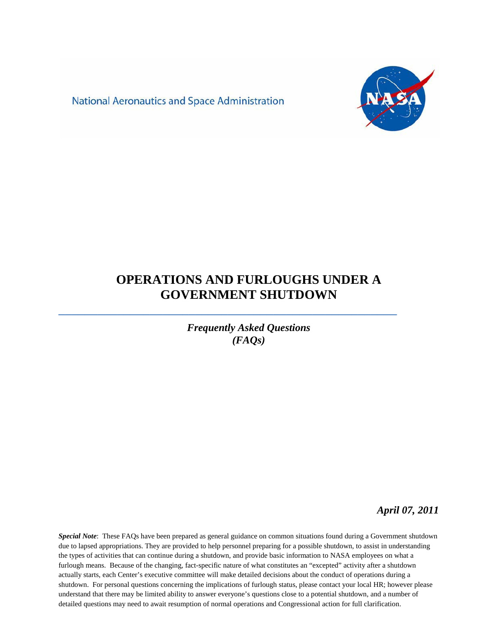**National Aeronautics and Space Administration** 



# **OPERATIONS AND FURLOUGHS UNDER A GOVERNMENT SHUTDOWN**

**\_\_\_\_\_\_\_\_\_\_\_\_\_\_\_\_\_\_\_\_\_\_\_\_\_\_\_\_\_\_\_\_\_\_\_\_\_\_\_\_\_\_\_\_\_\_\_\_\_\_\_\_**

*Frequently Asked Questions (FAQs)*

*April 07, 2011*

*Special Note*: These FAQs have been prepared as general guidance on common situations found during a Government shutdown due to lapsed appropriations. They are provided to help personnel preparing for a possible shutdown, to assist in understanding the types of activities that can continue during a shutdown, and provide basic information to NASA employees on what a furlough means. Because of the changing, fact-specific nature of what constitutes an "excepted" activity after a shutdown actually starts, each Center's executive committee will make detailed decisions about the conduct of operations during a shutdown. For personal questions concerning the implications of furlough status, please contact your local HR; however please understand that there may be limited ability to answer everyone's questions close to a potential shutdown, and a number of detailed questions may need to await resumption of normal operations and Congressional action for full clarification.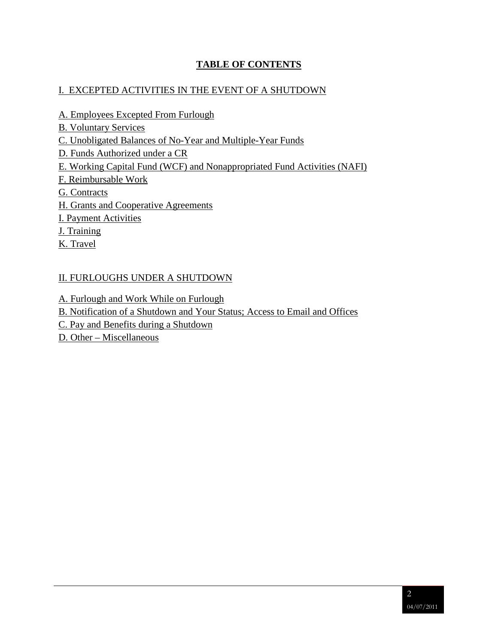#### **TABLE OF CONTENTS**

#### I. EXCEPTED ACTIVITIES IN THE EVENT OF A SHUTDOWN

- [A. Employees Excepted From Furlough](#page-1-0)
- [B. Voluntary Services](#page-5-0)
- [C. Unobligated Balances of No-Year and Multiple-Year Funds](#page-5-1)
- [D. Funds Authorized under a](#page-5-2) CR
- [E. Working Capital Fund \(WCF\) and Nonappropriated](#page-6-0) Fund Activities (NAFI)
- [F. Reimbursable Work](#page-7-0)
- [G. Contracts](#page-7-1)
- [H. Grants and Cooperative](#page-10-0) Agreements
- [I. Payment Activities](#page-10-1)
- [J. Training](#page-11-0)
- [K. Travel](#page-11-1)

### [II. FURLOUGHS UNDER A SHUTDOWN](#page-2-0)

- [A. Furlough and Work While on Furlough](#page-14-0)
- [B. Notification of a Shutdown and Your Status; Access to Email and Offices](#page-14-1)
- [C. Pay and Benefits during a Shutdown](#page-16-0)
- <span id="page-1-0"></span>D. Other – [Miscellaneous](#page-20-0)

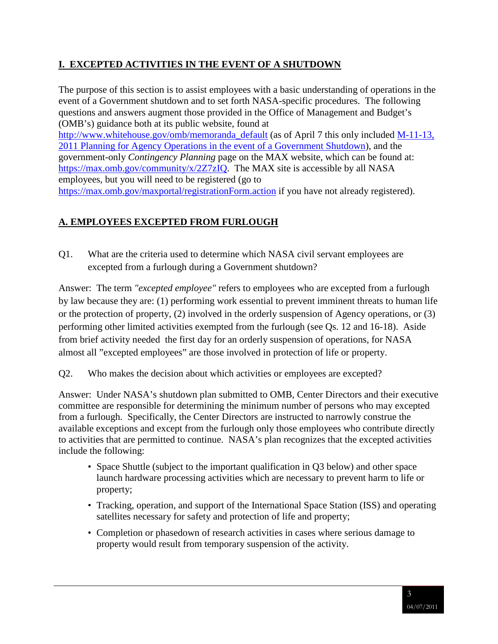## <span id="page-2-0"></span>**I. EXCEPTED ACTIVITIES IN THE EVENT OF A SHUTDOWN**

The purpose of this section is to assist employees with a basic understanding of operations in the event of a Government shutdown and to set forth NASA-specific procedures. The following questions and answers augment those provided in the Office of Management and Budget's (OMB's) guidance both at its public website, found at [http://www.whitehouse.gov/omb/memoranda\\_default](http://www.whitehouse.gov/omb/memoranda_default) (as of April 7 this only included M-11-13, [2011 Planning for Agency Operations in the event of a Government Shutdown\)](http://www.whitehouse.gov/sites/default/files/omb/memoranda/2011/m11-13.pdf), and the government-only *Contingency Planning* page on the MAX website*,* which can be found at: [https://max.omb.gov/community/x/2Z7zIQ.](https://max.omb.gov/community/x/2Z7zIQ) The MAX site is accessible by all NASA employees, but you will need to be registered (go to <https://max.omb.gov/maxportal/registrationForm.action> if you have not already registered).

## **A. EMPLOYEES EXCEPTED FROM FURLOUGH**

Q1. What are the criteria used to determine which NASA civil servant employees are excepted from a furlough during a Government shutdown?

Answer: The term *"excepted employee"* refers to employees who are excepted from a furlough by law because they are: (1) performing work essential to prevent imminent threats to human life or the protection of property, (2) involved in the orderly suspension of Agency operations, or (3) performing other limited activities exempted from the furlough (see Qs. 12 and 16-18). Aside from brief activity needed the first day for an orderly suspension of operations, for NASA almost all "excepted employees" are those involved in protection of life or property.

Q2. Who makes the decision about which activities or employees are excepted?

Answer: Under NASA's shutdown plan submitted to OMB, Center Directors and their executive committee are responsible for determining the minimum number of persons who may excepted from a furlough. Specifically, the Center Directors are instructed to narrowly construe the available exceptions and except from the furlough only those employees who contribute directly to activities that are permitted to continue. NASA's plan recognizes that the excepted activities include the following:

- Space Shuttle (subject to the important qualification in Q3 below) and other space launch hardware processing activities which are necessary to prevent harm to life or property;
- Tracking, operation, and support of the International Space Station (ISS) and operating satellites necessary for safety and protection of life and property;
- Completion or phasedown of research activities in cases where serious damage to property would result from temporary suspension of the activity.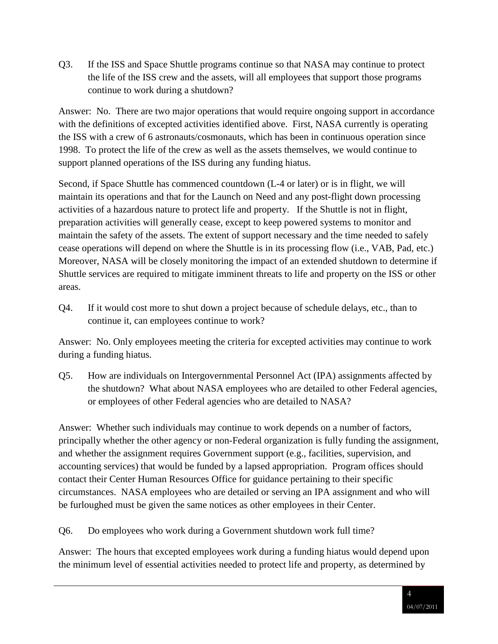Q3. If the ISS and Space Shuttle programs continue so that NASA may continue to protect the life of the ISS crew and the assets, will all employees that support those programs continue to work during a shutdown?

Answer: No. There are two major operations that would require ongoing support in accordance with the definitions of excepted activities identified above. First, NASA currently is operating the ISS with a crew of 6 astronauts/cosmonauts, which has been in continuous operation since 1998. To protect the life of the crew as well as the assets themselves, we would continue to support planned operations of the ISS during any funding hiatus.

Second, if Space Shuttle has commenced countdown (L-4 or later) or is in flight, we will maintain its operations and that for the Launch on Need and any post-flight down processing activities of a hazardous nature to protect life and property. If the Shuttle is not in flight, preparation activities will generally cease, except to keep powered systems to monitor and maintain the safety of the assets. The extent of support necessary and the time needed to safely cease operations will depend on where the Shuttle is in its processing flow (i.e., VAB, Pad, etc.) Moreover, NASA will be closely monitoring the impact of an extended shutdown to determine if Shuttle services are required to mitigate imminent threats to life and property on the ISS or other areas.

Q4. If it would cost more to shut down a project because of schedule delays, etc., than to continue it, can employees continue to work?

Answer: No. Only employees meeting the criteria for excepted activities may continue to work during a funding hiatus.

Q5. How are individuals on Intergovernmental Personnel Act (IPA) assignments affected by the shutdown? What about NASA employees who are detailed to other Federal agencies, or employees of other Federal agencies who are detailed to NASA?

Answer: Whether such individuals may continue to work depends on a number of factors, principally whether the other agency or non-Federal organization is fully funding the assignment, and whether the assignment requires Government support (e.g., facilities, supervision, and accounting services) that would be funded by a lapsed appropriation. Program offices should contact their Center Human Resources Office for guidance pertaining to their specific circumstances. NASA employees who are detailed or serving an IPA assignment and who will be furloughed must be given the same notices as other employees in their Center.

Q6. Do employees who work during a Government shutdown work full time?

Answer: The hours that excepted employees work during a funding hiatus would depend upon the minimum level of essential activities needed to protect life and property, as determined by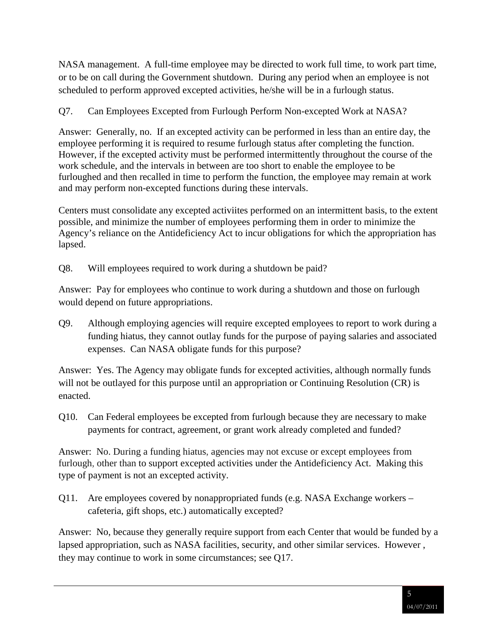NASA management. A full-time employee may be directed to work full time, to work part time, or to be on call during the Government shutdown. During any period when an employee is not scheduled to perform approved excepted activities, he/she will be in a furlough status.

### Q7. Can Employees Excepted from Furlough Perform Non-excepted Work at NASA?

Answer: Generally, no. If an excepted activity can be performed in less than an entire day, the employee performing it is required to resume furlough status after completing the function. However, if the excepted activity must be performed intermittently throughout the course of the work schedule, and the intervals in between are too short to enable the employee to be furloughed and then recalled in time to perform the function, the employee may remain at work and may perform non-excepted functions during these intervals.

Centers must consolidate any excepted activiites performed on an intermittent basis, to the extent possible, and minimize the number of employees performing them in order to minimize the Agency's reliance on the Antideficiency Act to incur obligations for which the appropriation has lapsed.

Q8. Will employees required to work during a shutdown be paid?

Answer: Pay for employees who continue to work during a shutdown and those on furlough would depend on future appropriations.

Q9. Although employing agencies will require excepted employees to report to work during a funding hiatus, they cannot outlay funds for the purpose of paying salaries and associated expenses. Can NASA obligate funds for this purpose?

Answer: Yes. The Agency may obligate funds for excepted activities, although normally funds will not be outlayed for this purpose until an appropriation or Continuing Resolution (CR) is enacted.

Q10. Can Federal employees be excepted from furlough because they are necessary to make payments for contract, agreement, or grant work already completed and funded?

Answer: No. During a funding hiatus, agencies may not excuse or except employees from furlough, other than to support excepted activities under the Antideficiency Act. Making this type of payment is not an excepted activity.

Q11. Are employees covered by nonappropriated funds (e.g. NASA Exchange workers – cafeteria, gift shops, etc.) automatically excepted?

Answer: No, because they generally require support from each Center that would be funded by a lapsed appropriation, such as NASA facilities, security, and other similar services. However , they may continue to work in some circumstances; see Q17.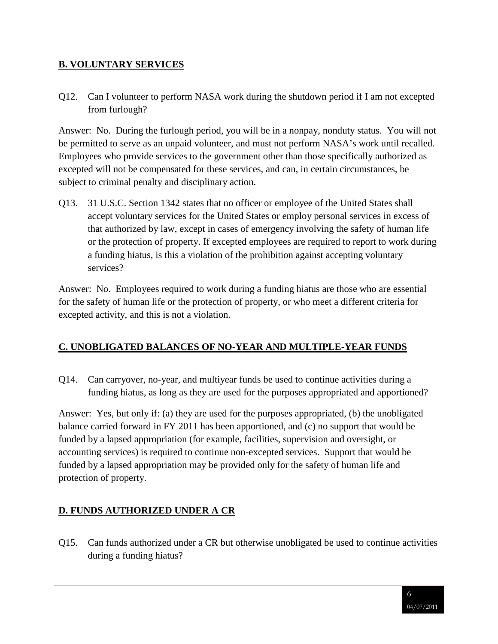#### <span id="page-5-0"></span>**B. VOLUNTARY SERVICES**

Q12. Can I volunteer to perform NASA work during the shutdown period if I am not excepted from furlough?

Answer: No. During the furlough period, you will be in a nonpay, nonduty status. You will not be permitted to serve as an unpaid volunteer, and must not perform NASA's work until recalled. Employees who provide services to the government other than those specifically authorized as excepted will not be compensated for these services, and can, in certain circumstances, be subject to criminal penalty and disciplinary action.

Q13. 31 U.S.C. Section 1342 states that no officer or employee of the United States shall accept voluntary services for the United States or employ personal services in excess of that authorized by law, except in cases of emergency involving the safety of human life or the protection of property. If excepted employees are required to report to work during a funding hiatus, is this a violation of the prohibition against accepting voluntary services?

Answer: No. Employees required to work during a funding hiatus are those who are essential for the safety of human life or the protection of property, or who meet a different criteria for excepted activity, and this is not a violation.

### <span id="page-5-1"></span>**C. UNOBLIGATED BALANCES OF NO-YEAR AND MULTIPLE-YEAR FUNDS**

Q14. Can carryover, no-year, and multiyear funds be used to continue activities during a funding hiatus, as long as they are used for the purposes appropriated and apportioned?

Answer: Yes, but only if: (a) they are used for the purposes appropriated, (b) the unobligated balance carried forward in FY 2011 has been apportioned, and (c) no support that would be funded by a lapsed appropriation (for example, facilities, supervision and oversight, or accounting services) is required to continue non-excepted services. Support that would be funded by a lapsed appropriation may be provided only for the safety of human life and protection of property.

### <span id="page-5-2"></span>**D. FUNDS AUTHORIZED UNDER A CR**

Q15. Can funds authorized under a CR but otherwise unobligated be used to continue activities during a funding hiatus?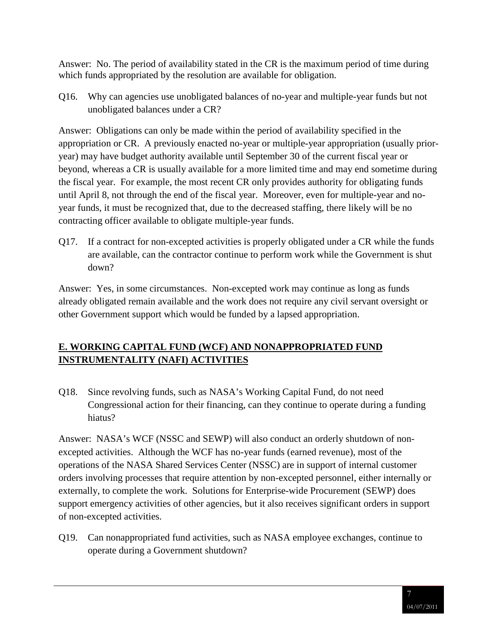Answer: No. The period of availability stated in the CR is the maximum period of time during which funds appropriated by the resolution are available for obligation.

Q16. Why can agencies use unobligated balances of no-year and multiple-year funds but not unobligated balances under a CR?

Answer: Obligations can only be made within the period of availability specified in the appropriation or CR. A previously enacted no-year or multiple-year appropriation (usually prioryear) may have budget authority available until September 30 of the current fiscal year or beyond, whereas a CR is usually available for a more limited time and may end sometime during the fiscal year. For example, the most recent CR only provides authority for obligating funds until April 8, not through the end of the fiscal year. Moreover, even for multiple-year and noyear funds, it must be recognized that, due to the decreased staffing, there likely will be no contracting officer available to obligate multiple-year funds.

Q17. If a contract for non-excepted activities is properly obligated under a CR while the funds are available, can the contractor continue to perform work while the Government is shut down?

Answer: Yes, in some circumstances. Non-excepted work may continue as long as funds already obligated remain available and the work does not require any civil servant oversight or other Government support which would be funded by a lapsed appropriation.

## <span id="page-6-0"></span>**E. WORKING CAPITAL FUND (WCF) AND NONAPPROPRIATED FUND INSTRUMENTALITY (NAFI) ACTIVITIES**

Q18. Since revolving funds, such as NASA's Working Capital Fund, do not need Congressional action for their financing, can they continue to operate during a funding hiatus?

Answer: NASA's WCF (NSSC and SEWP) will also conduct an orderly shutdown of nonexcepted activities. Although the WCF has no-year funds (earned revenue), most of the operations of the NASA Shared Services Center (NSSC) are in support of internal customer orders involving processes that require attention by non-excepted personnel, either internally or externally, to complete the work. Solutions for Enterprise-wide Procurement (SEWP) does support emergency activities of other agencies, but it also receives significant orders in support of non-excepted activities.

Q19. Can nonappropriated fund activities, such as NASA employee exchanges, continue to operate during a Government shutdown?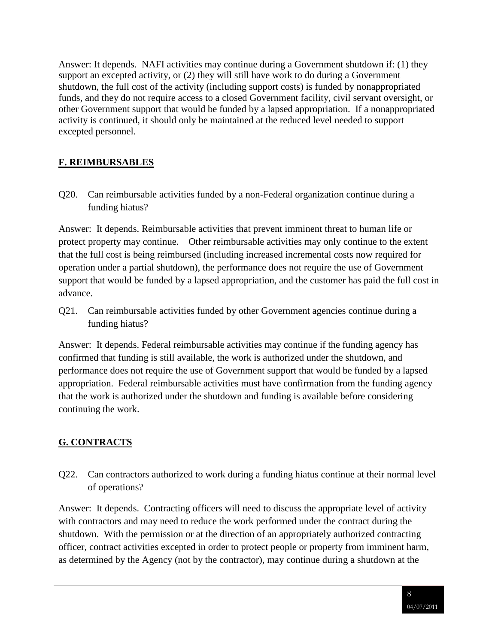Answer: It depends. NAFI activities may continue during a Government shutdown if: (1) they support an excepted activity, or (2) they will still have work to do during a Government shutdown, the full cost of the activity (including support costs) is funded by nonappropriated funds, and they do not require access to a closed Government facility, civil servant oversight, or other Government support that would be funded by a lapsed appropriation. If a nonappropriated activity is continued, it should only be maintained at the reduced level needed to support excepted personnel.

## <span id="page-7-0"></span>**F. REIMBURSABLES**

Q20. Can reimbursable activities funded by a non-Federal organization continue during a funding hiatus?

Answer: It depends. Reimbursable activities that prevent imminent threat to human life or protect property may continue. Other reimbursable activities may only continue to the extent that the full cost is being reimbursed (including increased incremental costs now required for operation under a partial shutdown), the performance does not require the use of Government support that would be funded by a lapsed appropriation, and the customer has paid the full cost in advance.

Q21. Can reimbursable activities funded by other Government agencies continue during a funding hiatus?

Answer: It depends. Federal reimbursable activities may continue if the funding agency has confirmed that funding is still available, the work is authorized under the shutdown, and performance does not require the use of Government support that would be funded by a lapsed appropriation. Federal reimbursable activities must have confirmation from the funding agency that the work is authorized under the shutdown and funding is available before considering continuing the work.

## <span id="page-7-1"></span>**G. CONTRACTS**

Q22. Can contractors authorized to work during a funding hiatus continue at their normal level of operations?

Answer: It depends. Contracting officers will need to discuss the appropriate level of activity with contractors and may need to reduce the work performed under the contract during the shutdown. With the permission or at the direction of an appropriately authorized contracting officer, contract activities excepted in order to protect people or property from imminent harm, as determined by the Agency (not by the contractor), may continue during a shutdown at the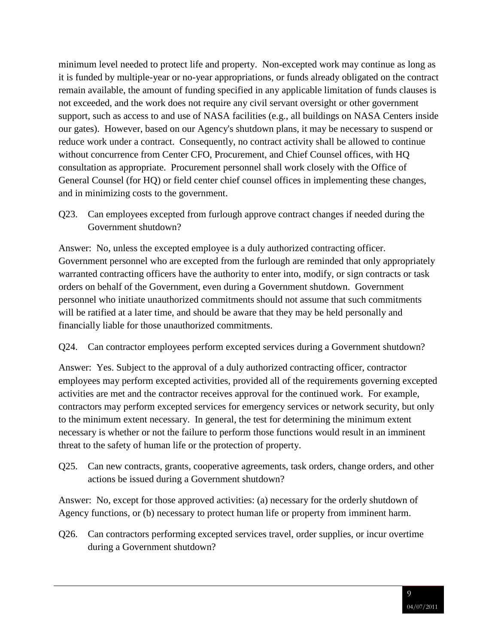minimum level needed to protect life and property. Non-excepted work may continue as long as it is funded by multiple-year or no-year appropriations, or funds already obligated on the contract remain available, the amount of funding specified in any applicable limitation of funds clauses is not exceeded, and the work does not require any civil servant oversight or other government support, such as access to and use of NASA facilities (e.g., all buildings on NASA Centers inside our gates). However, based on our Agency's shutdown plans, it may be necessary to suspend or reduce work under a contract. Consequently, no contract activity shall be allowed to continue without concurrence from Center CFO, Procurement, and Chief Counsel offices, with HQ consultation as appropriate. Procurement personnel shall work closely with the Office of General Counsel (for HQ) or field center chief counsel offices in implementing these changes, and in minimizing costs to the government.

Q23. Can employees excepted from furlough approve contract changes if needed during the Government shutdown?

Answer: No, unless the excepted employee is a duly authorized contracting officer. Government personnel who are excepted from the furlough are reminded that only appropriately warranted contracting officers have the authority to enter into, modify, or sign contracts or task orders on behalf of the Government, even during a Government shutdown. Government personnel who initiate unauthorized commitments should not assume that such commitments will be ratified at a later time, and should be aware that they may be held personally and financially liable for those unauthorized commitments.

#### Q24. Can contractor employees perform excepted services during a Government shutdown?

Answer: Yes. Subject to the approval of a duly authorized contracting officer, contractor employees may perform excepted activities, provided all of the requirements governing excepted activities are met and the contractor receives approval for the continued work. For example, contractors may perform excepted services for emergency services or network security, but only to the minimum extent necessary. In general, the test for determining the minimum extent necessary is whether or not the failure to perform those functions would result in an imminent threat to the safety of human life or the protection of property.

Q25. Can new contracts, grants, cooperative agreements, task orders, change orders, and other actions be issued during a Government shutdown?

Answer: No, except for those approved activities: (a) necessary for the orderly shutdown of Agency functions, or (b) necessary to protect human life or property from imminent harm.

Q26. Can contractors performing excepted services travel, order supplies, or incur overtime during a Government shutdown?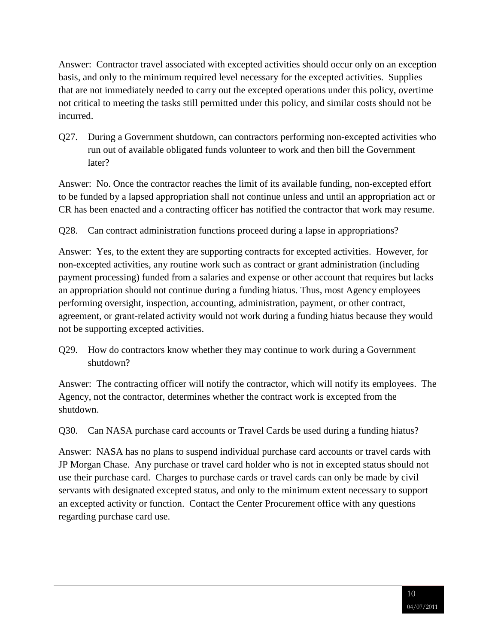Answer: Contractor travel associated with excepted activities should occur only on an exception basis, and only to the minimum required level necessary for the excepted activities. Supplies that are not immediately needed to carry out the excepted operations under this policy, overtime not critical to meeting the tasks still permitted under this policy, and similar costs should not be incurred.

Q27. During a Government shutdown, can contractors performing non-excepted activities who run out of available obligated funds volunteer to work and then bill the Government later?

Answer: No. Once the contractor reaches the limit of its available funding, non-excepted effort to be funded by a lapsed appropriation shall not continue unless and until an appropriation act or CR has been enacted and a contracting officer has notified the contractor that work may resume.

Q28. Can contract administration functions proceed during a lapse in appropriations?

Answer: Yes, to the extent they are supporting contracts for excepted activities. However, for non-excepted activities, any routine work such as contract or grant administration (including payment processing) funded from a salaries and expense or other account that requires but lacks an appropriation should not continue during a funding hiatus. Thus, most Agency employees performing oversight, inspection, accounting, administration, payment, or other contract, agreement, or grant-related activity would not work during a funding hiatus because they would not be supporting excepted activities.

Q29. How do contractors know whether they may continue to work during a Government shutdown?

Answer: The contracting officer will notify the contractor, which will notify its employees. The Agency, not the contractor, determines whether the contract work is excepted from the shutdown.

Q30. Can NASA purchase card accounts or Travel Cards be used during a funding hiatus?

Answer: NASA has no plans to suspend individual purchase card accounts or travel cards with JP Morgan Chase. Any purchase or travel card holder who is not in excepted status should not use their purchase card. Charges to purchase cards or travel cards can only be made by civil servants with designated excepted status, and only to the minimum extent necessary to support an excepted activity or function. Contact the Center Procurement office with any questions regarding purchase card use.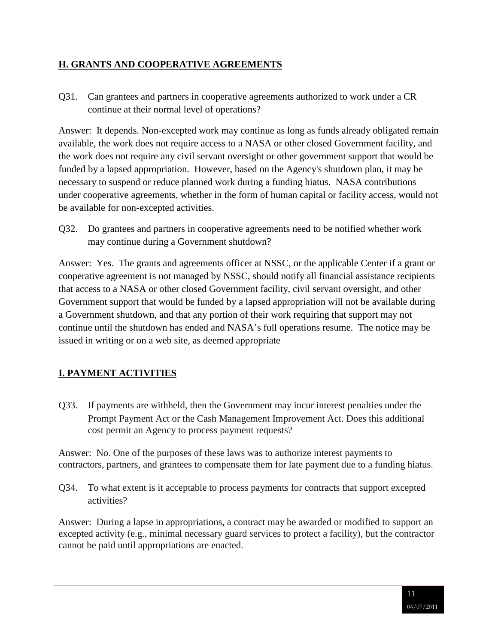#### <span id="page-10-0"></span>**H. GRANTS AND COOPERATIVE AGREEMENTS**

Q31. Can grantees and partners in cooperative agreements authorized to work under a CR continue at their normal level of operations?

Answer: It depends. Non-excepted work may continue as long as funds already obligated remain available, the work does not require access to a NASA or other closed Government facility, and the work does not require any civil servant oversight or other government support that would be funded by a lapsed appropriation. However, based on the Agency's shutdown plan, it may be necessary to suspend or reduce planned work during a funding hiatus. NASA contributions under cooperative agreements, whether in the form of human capital or facility access, would not be available for non-excepted activities.

<span id="page-10-1"></span>Q32. Do grantees and partners in cooperative agreements need to be notified whether work may continue during a Government shutdown?

Answer: Yes. The grants and agreements officer at NSSC, or the applicable Center if a grant or cooperative agreement is not managed by NSSC, should notify all financial assistance recipients that access to a NASA or other closed Government facility, civil servant oversight, and other Government support that would be funded by a lapsed appropriation will not be available during a Government shutdown, and that any portion of their work requiring that support may not continue until the shutdown has ended and NASA's full operations resume. The notice may be issued in writing or on a web site, as deemed appropriate

### **I. PAYMENT ACTIVITIES**

Q33. If payments are withheld, then the Government may incur interest penalties under the Prompt Payment Act or the Cash Management Improvement Act. Does this additional cost permit an Agency to process payment requests?

Answer: No. One of the purposes of these laws was to authorize interest payments to contractors, partners, and grantees to compensate them for late payment due to a funding hiatus.

Q34. To what extent is it acceptable to process payments for contracts that support excepted activities?

Answer: During a lapse in appropriations, a contract may be awarded or modified to support an excepted activity (e.g., minimal necessary guard services to protect a facility), but the contractor cannot be paid until appropriations are enacted.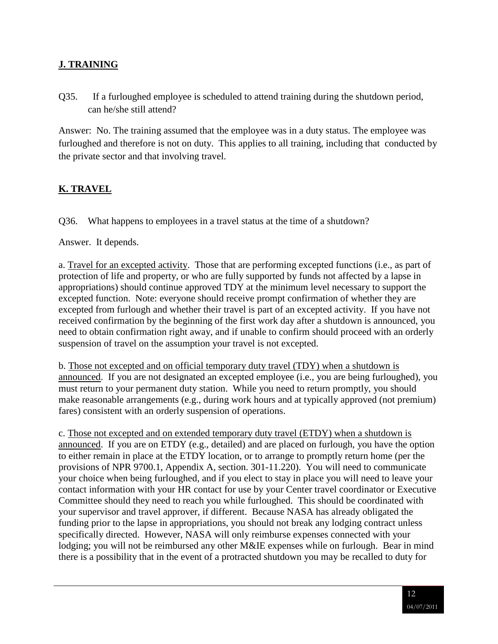### <span id="page-11-0"></span>**J. TRAINING**

Q35. If a furloughed employee is scheduled to attend training during the shutdown period, can he/she still attend?

Answer: No. The training assumed that the employee was in a duty status. The employee was furloughed and therefore is not on duty. This applies to all training, including that conducted by the private sector and that involving travel.

#### <span id="page-11-1"></span>**K. TRAVEL**

Q36. What happens to employees in a travel status at the time of a shutdown?

Answer. It depends.

a. Travel for an excepted activity. Those that are performing excepted functions (i.e., as part of protection of life and property, or who are fully supported by funds not affected by a lapse in appropriations) should continue approved TDY at the minimum level necessary to support the excepted function. Note: everyone should receive prompt confirmation of whether they are excepted from furlough and whether their travel is part of an excepted activity. If you have not received confirmation by the beginning of the first work day after a shutdown is announced, you need to obtain confirmation right away, and if unable to confirm should proceed with an orderly suspension of travel on the assumption your travel is not excepted.

b. Those not excepted and on official temporary duty travel (TDY) when a shutdown is announced. If you are not designated an excepted employee (i.e., you are being furloughed), you must return to your permanent duty station. While you need to return promptly, you should make reasonable arrangements (e.g., during work hours and at typically approved (not premium) fares) consistent with an orderly suspension of operations.

c. Those not excepted and on extended temporary duty travel (ETDY) when a shutdown is announced. If you are on ETDY (e.g., detailed) and are placed on furlough, you have the option to either remain in place at the ETDY location, or to arrange to promptly return home (per the provisions of NPR 9700.1, Appendix A, section. 301-11.220). You will need to communicate your choice when being furloughed, and if you elect to stay in place you will need to leave your contact information with your HR contact for use by your Center travel coordinator or Executive Committee should they need to reach you while furloughed. This should be coordinated with your supervisor and travel approver, if different. Because NASA has already obligated the funding prior to the lapse in appropriations, you should not break any lodging contract unless specifically directed. However, NASA will only reimburse expenses connected with your lodging; you will not be reimbursed any other M&IE expenses while on furlough. Bear in mind there is a possibility that in the event of a protracted shutdown you may be recalled to duty for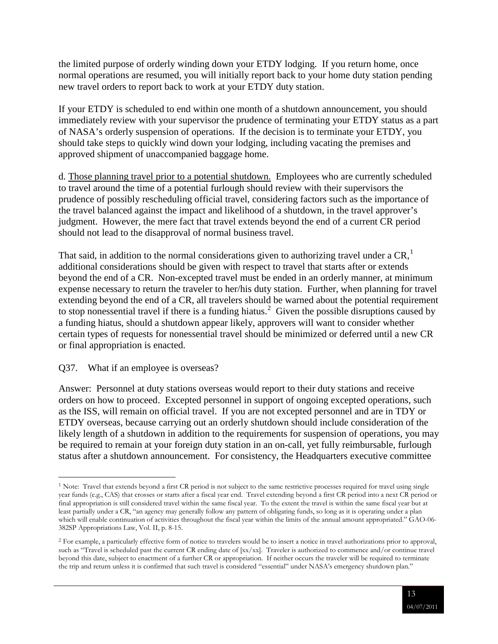the limited purpose of orderly winding down your ETDY lodging. If you return home, once normal operations are resumed, you will initially report back to your home duty station pending new travel orders to report back to work at your ETDY duty station.

If your ETDY is scheduled to end within one month of a shutdown announcement, you should immediately review with your supervisor the prudence of terminating your ETDY status as a part of NASA's orderly suspension of operations. If the decision is to terminate your ETDY, you should take steps to quickly wind down your lodging, including vacating the premises and approved shipment of unaccompanied baggage home.

d. Those planning travel prior to a potential shutdown. Employees who are currently scheduled to travel around the time of a potential furlough should review with their supervisors the prudence of possibly rescheduling official travel, considering factors such as the importance of the travel balanced against the impact and likelihood of a shutdown, in the travel approver's judgment. However, the mere fact that travel extends beyond the end of a current CR period should not lead to the disapproval of normal business travel.

That said, in addition to the normal considerations given to authorizing travel under a  $CR<sup>1</sup>$  $CR<sup>1</sup>$  $CR<sup>1</sup>$ . additional considerations should be given with respect to travel that starts after or extends beyond the end of a CR. Non-excepted travel must be ended in an orderly manner, at minimum expense necessary to return the traveler to her/his duty station. Further, when planning for travel extending beyond the end of a CR, all travelers should be warned about the potential requirement to stop nonessential travel if there is a funding hiatus.<sup>[2](#page-12-1)</sup> Given the possible disruptions caused by a funding hiatus, should a shutdown appear likely, approvers will want to consider whether certain types of requests for nonessential travel should be minimized or deferred until a new CR or final appropriation is enacted.

#### Q37. What if an employee is overseas?

Answer: Personnel at duty stations overseas would report to their duty stations and receive orders on how to proceed. Excepted personnel in support of ongoing excepted operations, such as the ISS, will remain on official travel. If you are not excepted personnel and are in TDY or ETDY overseas, because carrying out an orderly shutdown should include consideration of the likely length of a shutdown in addition to the requirements for suspension of operations, you may be required to remain at your foreign duty station in an on-call, yet fully reimbursable, furlough status after a shutdown announcement. For consistency, the Headquarters executive committee

<span id="page-12-0"></span><sup>&</sup>lt;sup>1</sup> Note: Travel that extends beyond a first CR period is not subject to the same restrictive processes required for travel using single year funds (e.g., CAS) that crosses or starts after a fiscal year end. Travel extending beyond a first CR period into a next CR period or final appropriation is still considered travel within the same fiscal year. To the extent the travel is within the same fiscal year but at least partially under a CR, "an agency may generally follow any pattern of obligating funds, so long as it is operating under a plan which will enable continuation of activities throughout the fiscal year within the limits of the annual amount appropriated." GAO-06- 382SP Appropriations Law, Vol. II, p. 8-15.

<span id="page-12-1"></span><sup>&</sup>lt;sup>2</sup> For example, a particularly effective form of notice to travelers would be to insert a notice in travel authorizations prior to approval, such as "Travel is scheduled past the current CR ending date of [xx/xx]. Traveler is authorized to commence and/or continue travel beyond this date, subject to enactment of a further CR or appropriation. If neither occurs the traveler will be required to terminate the trip and return unless it is confirmed that such travel is considered "essential" under NASA's emergency shutdown plan."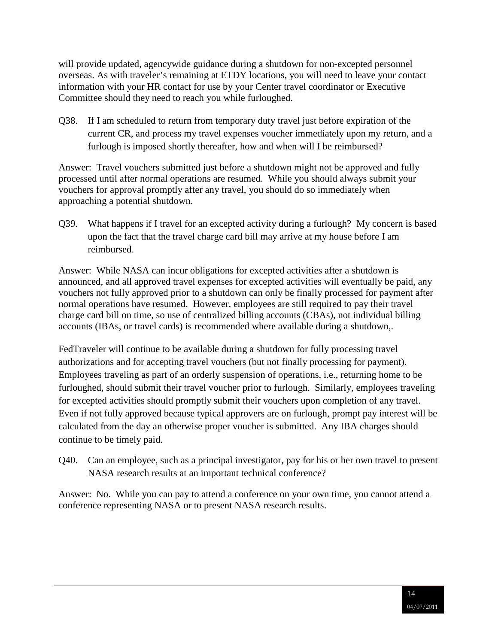will provide updated, agencywide guidance during a shutdown for non-excepted personnel overseas. As with traveler's remaining at ETDY locations, you will need to leave your contact information with your HR contact for use by your Center travel coordinator or Executive Committee should they need to reach you while furloughed.

Q38. If I am scheduled to return from temporary duty travel just before expiration of the current CR, and process my travel expenses voucher immediately upon my return, and a furlough is imposed shortly thereafter, how and when will I be reimbursed?

Answer: Travel vouchers submitted just before a shutdown might not be approved and fully processed until after normal operations are resumed. While you should always submit your vouchers for approval promptly after any travel, you should do so immediately when approaching a potential shutdown.

Q39. What happens if I travel for an excepted activity during a furlough? My concern is based upon the fact that the travel charge card bill may arrive at my house before I am reimbursed.

Answer: While NASA can incur obligations for excepted activities after a shutdown is announced, and all approved travel expenses for excepted activities will eventually be paid, any vouchers not fully approved prior to a shutdown can only be finally processed for payment after normal operations have resumed. However, employees are still required to pay their travel charge card bill on time, so use of centralized billing accounts (CBAs), not individual billing accounts (IBAs, or travel cards) is recommended where available during a shutdown,.

FedTraveler will continue to be available during a shutdown for fully processing travel authorizations and for accepting travel vouchers (but not finally processing for payment). Employees traveling as part of an orderly suspension of operations, i.e., returning home to be furloughed, should submit their travel voucher prior to furlough. Similarly, employees traveling for excepted activities should promptly submit their vouchers upon completion of any travel. Even if not fully approved because typical approvers are on furlough, prompt pay interest will be calculated from the day an otherwise proper voucher is submitted. Any IBA charges should continue to be timely paid.

Q40. Can an employee, such as a principal investigator, pay for his or her own travel to present NASA research results at an important technical conference?

Answer: No. While you can pay to attend a conference on your own time, you cannot attend a conference representing NASA or to present NASA research results.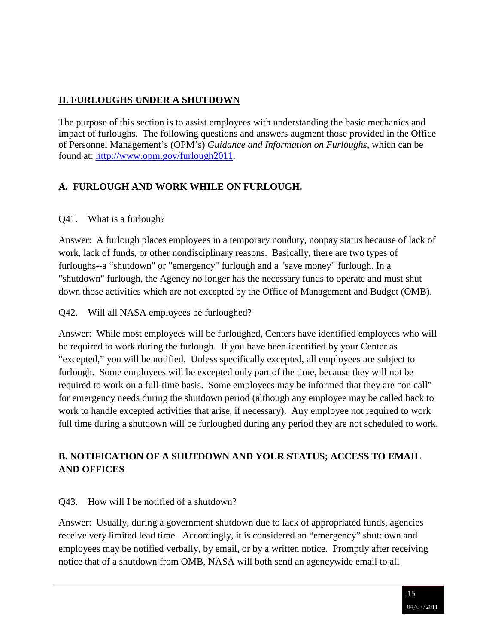## **II. FURLOUGHS UNDER A SHUTDOWN**

The purpose of this section is to assist employees with understanding the basic mechanics and impact of furloughs. The following questions and answers augment those provided in the Office of Personnel Management's (OPM's) *Guidance and Information on Furloughs*, which can be found at: [http://www.opm.gov/furlough2011.](http://www.opm.gov/furlough2011/)

### <span id="page-14-0"></span>**A. FURLOUGH AND WORK WHILE ON FURLOUGH.**

#### Q41. What is a furlough?

Answer: A furlough places employees in a temporary nonduty, nonpay status because of lack of work, lack of funds, or other nondisciplinary reasons. Basically, there are two types of furloughs--a "shutdown" or "emergency" furlough and a "save money" furlough. In a "shutdown" furlough, the Agency no longer has the necessary funds to operate and must shut down those activities which are not excepted by the Office of Management and Budget (OMB).

#### Q42. Will all NASA employees be furloughed?

Answer: While most employees will be furloughed, Centers have identified employees who will be required to work during the furlough. If you have been identified by your Center as "excepted," you will be notified. Unless specifically excepted, all employees are subject to furlough. Some employees will be excepted only part of the time, because they will not be required to work on a full-time basis. Some employees may be informed that they are "on call" for emergency needs during the shutdown period (although any employee may be called back to work to handle excepted activities that arise, if necessary). Any employee not required to work full time during a shutdown will be furloughed during any period they are not scheduled to work.

## <span id="page-14-1"></span>**B. NOTIFICATION OF A SHUTDOWN AND YOUR STATUS; ACCESS TO EMAIL AND OFFICES**

#### Q43. How will I be notified of a shutdown?

Answer: Usually, during a government shutdown due to lack of appropriated funds, agencies receive very limited lead time. Accordingly, it is considered an "emergency" shutdown and employees may be notified verbally, by email, or by a written notice. Promptly after receiving notice that of a shutdown from OMB, NASA will both send an agencywide email to all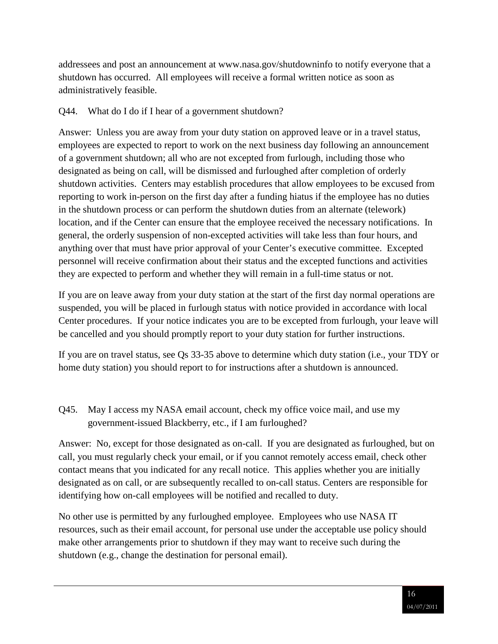addressees and post an announcement at www.nasa.gov/shutdowninfo to notify everyone that a shutdown has occurred. All employees will receive a formal written notice as soon as administratively feasible.

### Q44. What do I do if I hear of a government shutdown?

Answer: Unless you are away from your duty station on approved leave or in a travel status, employees are expected to report to work on the next business day following an announcement of a government shutdown; all who are not excepted from furlough, including those who designated as being on call, will be dismissed and furloughed after completion of orderly shutdown activities. Centers may establish procedures that allow employees to be excused from reporting to work in-person on the first day after a funding hiatus if the employee has no duties in the shutdown process or can perform the shutdown duties from an alternate (telework) location, and if the Center can ensure that the employee received the necessary notifications. In general, the orderly suspension of non-excepted activities will take less than four hours, and anything over that must have prior approval of your Center's executive committee. Excepted personnel will receive confirmation about their status and the excepted functions and activities they are expected to perform and whether they will remain in a full-time status or not.

If you are on leave away from your duty station at the start of the first day normal operations are suspended, you will be placed in furlough status with notice provided in accordance with local Center procedures. If your notice indicates you are to be excepted from furlough, your leave will be cancelled and you should promptly report to your duty station for further instructions.

If you are on travel status, see Qs 33-35 above to determine which duty station (i.e., your TDY or home duty station) you should report to for instructions after a shutdown is announced.

Q45. May I access my NASA email account, check my office voice mail, and use my government-issued Blackberry, etc., if I am furloughed?

Answer: No, except for those designated as on-call. If you are designated as furloughed, but on call, you must regularly check your email, or if you cannot remotely access email, check other contact means that you indicated for any recall notice. This applies whether you are initially designated as on call, or are subsequently recalled to on-call status. Centers are responsible for identifying how on-call employees will be notified and recalled to duty.

No other use is permitted by any furloughed employee. Employees who use NASA IT resources, such as their email account, for personal use under the acceptable use policy should make other arrangements prior to shutdown if they may want to receive such during the shutdown (e.g., change the destination for personal email).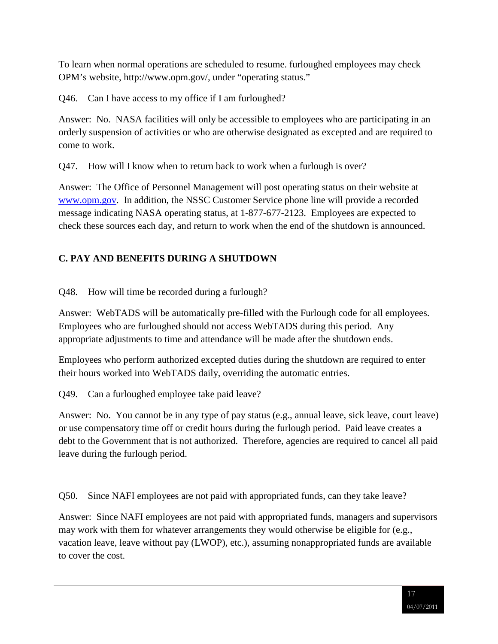To learn when normal operations are scheduled to resume. furloughed employees may check OPM's website, http://www.opm.gov/, under "operating status."

Q46. Can I have access to my office if I am furloughed?

Answer: No. NASA facilities will only be accessible to employees who are participating in an orderly suspension of activities or who are otherwise designated as excepted and are required to come to work.

Q47. How will I know when to return back to work when a furlough is over?

Answer: The Office of Personnel Management will post operating status on their website at [www.opm.gov.](http://www.opm.gov/) In addition, the NSSC Customer Service phone line will provide a recorded message indicating NASA operating status, at 1-877-677-2123. Employees are expected to check these sources each day, and return to work when the end of the shutdown is announced.

## <span id="page-16-0"></span>**C. PAY AND BENEFITS DURING A SHUTDOWN**

Q48. How will time be recorded during a furlough?

Answer: WebTADS will be automatically pre-filled with the Furlough code for all employees. Employees who are furloughed should not access WebTADS during this period. Any appropriate adjustments to time and attendance will be made after the shutdown ends.

Employees who perform authorized excepted duties during the shutdown are required to enter their hours worked into WebTADS daily, overriding the automatic entries.

Q49. Can a furloughed employee take paid leave?

Answer: No. You cannot be in any type of pay status (e.g., annual leave, sick leave, court leave) or use compensatory time off or credit hours during the furlough period. Paid leave creates a debt to the Government that is not authorized. Therefore, agencies are required to cancel all paid leave during the furlough period.

Q50. Since NAFI employees are not paid with appropriated funds, can they take leave?

Answer: Since NAFI employees are not paid with appropriated funds, managers and supervisors may work with them for whatever arrangements they would otherwise be eligible for (e.g., vacation leave, leave without pay (LWOP), etc.), assuming nonappropriated funds are available to cover the cost.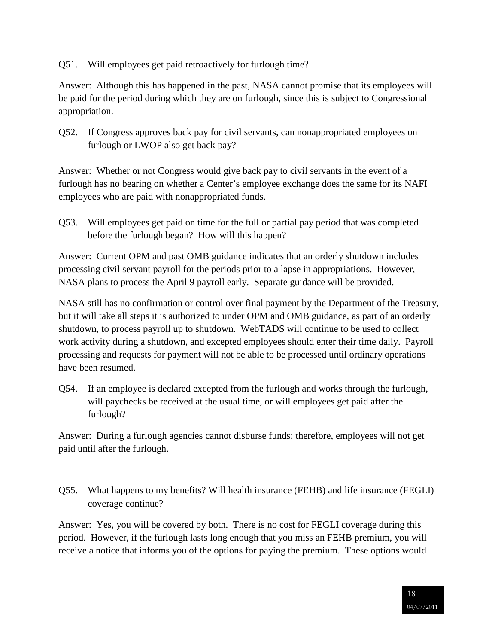Q51. Will employees get paid retroactively for furlough time?

Answer: Although this has happened in the past, NASA cannot promise that its employees will be paid for the period during which they are on furlough, since this is subject to Congressional appropriation.

Q52. If Congress approves back pay for civil servants, can nonappropriated employees on furlough or LWOP also get back pay?

Answer: Whether or not Congress would give back pay to civil servants in the event of a furlough has no bearing on whether a Center's employee exchange does the same for its NAFI employees who are paid with nonappropriated funds.

Q53. Will employees get paid on time for the full or partial pay period that was completed before the furlough began? How will this happen?

Answer: Current OPM and past OMB guidance indicates that an orderly shutdown includes processing civil servant payroll for the periods prior to a lapse in appropriations. However, NASA plans to process the April 9 payroll early. Separate guidance will be provided.

NASA still has no confirmation or control over final payment by the Department of the Treasury, but it will take all steps it is authorized to under OPM and OMB guidance, as part of an orderly shutdown, to process payroll up to shutdown. WebTADS will continue to be used to collect work activity during a shutdown, and excepted employees should enter their time daily. Payroll processing and requests for payment will not be able to be processed until ordinary operations have been resumed.

Q54. If an employee is declared excepted from the furlough and works through the furlough, will paychecks be received at the usual time, or will employees get paid after the furlough?

Answer: During a furlough agencies cannot disburse funds; therefore, employees will not get paid until after the furlough.

Q55. What happens to my benefits? Will health insurance (FEHB) and life insurance (FEGLI) coverage continue?

Answer: Yes, you will be covered by both. There is no cost for FEGLI coverage during this period. However, if the furlough lasts long enough that you miss an FEHB premium, you will receive a notice that informs you of the options for paying the premium. These options would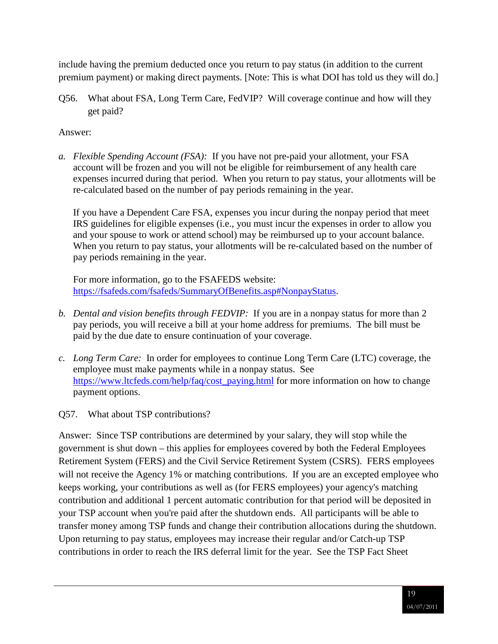include having the premium deducted once you return to pay status (in addition to the current premium payment) or making direct payments. [Note: This is what DOI has told us they will do.]

Q56. What about FSA, Long Term Care, FedVIP? Will coverage continue and how will they get paid?

#### Answer:

*a. Flexible Spending Account (FSA):* If you have not pre-paid your allotment, your FSA account will be frozen and you will not be eligible for reimbursement of any health care expenses incurred during that period. When you return to pay status, your allotments will be re-calculated based on the number of pay periods remaining in the year.

If you have a Dependent Care FSA, expenses you incur during the nonpay period that meet IRS guidelines for eligible expenses (i.e., you must incur the expenses in order to allow you and your spouse to work or attend school) may be reimbursed up to your account balance. When you return to pay status, your allotments will be re-calculated based on the number of pay periods remaining in the year.

For more information, go to the FSAFEDS website: [https://fsafeds.com/fsafeds/SummaryOfBenefits.asp#NonpayStatus.](https://fsafeds.com/fsafeds/SummaryOfBenefits.asp#NonpayStatus)

- *b. Dental and vision benefits through FEDVIP:* If you are in a nonpay status for more than 2 pay periods, you will receive a bill at your home address for premiums. The bill must be paid by the due date to ensure continuation of your coverage.
- *c. Long Term Care:* In order for employees to continue Long Term Care (LTC) coverage, the employee must make payments while in a nonpay status. See [https://www.ltcfeds.com/help/faq/cost\\_paying.html](https://www.ltcfeds.com/help/faq/cost_paying.html) for more information on how to change payment options.
- Q57. What about TSP contributions?

Answer: Since TSP contributions are determined by your salary, they will stop while the government is shut down – this applies for employees covered by both the Federal Employees Retirement System (FERS) and the Civil Service Retirement System (CSRS). FERS employees will not receive the Agency 1% or matching contributions. If you are an excepted employee who keeps working, your contributions as well as (for FERS employees) your agency's matching contribution and additional 1 percent automatic contribution for that period will be deposited in your TSP account when you're paid after the shutdown ends. All participants will be able to transfer money among TSP funds and change their contribution allocations during the shutdown. Upon returning to pay status, employees may increase their regular and/or Catch-up TSP contributions in order to reach the IRS deferral limit for the year. See the TSP Fact Sheet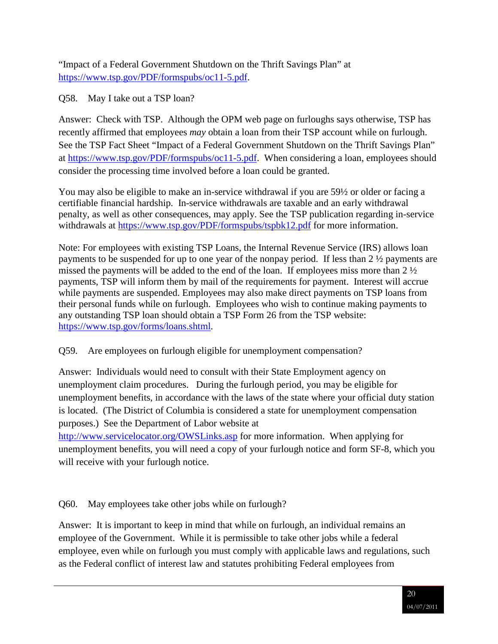"Impact of a Federal Government Shutdown on the Thrift Savings Plan" at [https://www.tsp.gov/PDF/formspubs/oc11-5.pdf.](https://www.tsp.gov/PDF/formspubs/oc11-5.pdf)

Q58. May I take out a TSP loan?

Answer: Check with TSP. Although the OPM web page on furloughs says otherwise, TSP has recently affirmed that employees *may* obtain a loan from their TSP account while on furlough. See the TSP Fact Sheet "Impact of a Federal Government Shutdown on the Thrift Savings Plan" at [https://www.tsp.gov/PDF/formspubs/oc11-5.pdf.](https://www.tsp.gov/PDF/formspubs/oc11-5.pdf) When considering a loan, employees should consider the processing time involved before a loan could be granted.

You may also be eligible to make an in-service withdrawal if you are 59½ or older or facing a certifiable financial hardship. In-service withdrawals are taxable and an early withdrawal penalty, as well as other consequences, may apply. See the TSP publication regarding in-service withdrawals at<https://www.tsp.gov/PDF/formspubs/tspbk12.pdf> for more information.

Note: For employees with existing TSP Loans, the Internal Revenue Service (IRS) allows loan payments to be suspended for up to one year of the nonpay period. If less than 2 ½ payments are missed the payments will be added to the end of the loan. If employees miss more than 2 ½ payments, TSP will inform them by mail of the requirements for payment. Interest will accrue while payments are suspended. Employees may also make direct payments on TSP loans from their personal funds while on furlough. Employees who wish to continue making payments to any outstanding TSP loan should obtain a TSP Form 26 from the TSP website: [https://www.tsp.gov/forms/loans.shtml.](https://www.tsp.gov/forms/loans.shtml)

### Q59. Are employees on furlough eligible for unemployment compensation?

Answer: Individuals would need to consult with their State Employment agency on unemployment claim procedures. During the furlough period, you may be eligible for unemployment benefits, in accordance with the laws of the state where your official duty station is located. (The District of Columbia is considered a state for unemployment compensation purposes.) See the Department of Labor website at

<http://www.servicelocator.org/OWSLinks.asp> for more information. When applying for unemployment benefits, you will need a copy of your furlough notice and form SF-8, which you will receive with your furlough notice.

Q60. May employees take other jobs while on furlough?

Answer: It is important to keep in mind that while on furlough, an individual remains an employee of the Government. While it is permissible to take other jobs while a federal employee, even while on furlough you must comply with applicable laws and regulations, such as the Federal conflict of interest law and statutes prohibiting Federal employees from